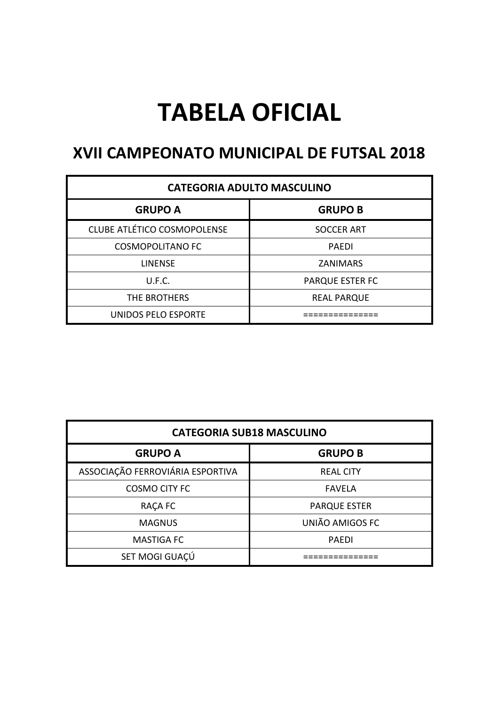# **TABELA OFICIAL**

#### **XVII CAMPEONATO MUNICIPAL DE FUTSAL 2018**

| <b>CATEGORIA ADULTO MASCULINO</b>  |                        |  |  |
|------------------------------------|------------------------|--|--|
| <b>GRUPO A</b>                     | <b>GRUPO B</b>         |  |  |
| <b>CLUBE ATLÉTICO COSMOPOLENSE</b> | <b>SOCCER ART</b>      |  |  |
| <b>COSMOPOLITANO FC</b>            | <b>PAEDI</b>           |  |  |
| <b>LINENSE</b>                     | <b>ZANIMARS</b>        |  |  |
| U.F.C.                             | <b>PARQUE ESTER FC</b> |  |  |
| THE BROTHERS                       | <b>REAL PARQUE</b>     |  |  |
| UNIDOS PELO ESPORTE                |                        |  |  |

| <b>CATEGORIA SUB18 MASCULINO</b> |                     |  |  |  |
|----------------------------------|---------------------|--|--|--|
| <b>GRUPO A</b><br><b>GRUPO B</b> |                     |  |  |  |
| ASSOCIAÇÃO FERROVIÁRIA ESPORTIVA | <b>REAL CITY</b>    |  |  |  |
| <b>COSMO CITY FC</b>             | <b>FAVELA</b>       |  |  |  |
| RAÇA FC                          | <b>PARQUE ESTER</b> |  |  |  |
| <b>MAGNUS</b>                    | UNIÃO AMIGOS FC     |  |  |  |
| <b>MASTIGA FC</b>                | <b>PAEDI</b>        |  |  |  |
| SET MOGI GUAÇÚ                   |                     |  |  |  |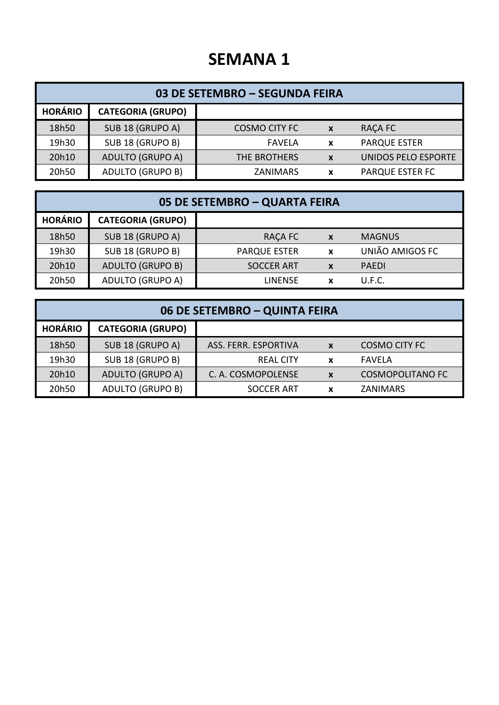| 03 DE SETEMBRO - SEGUNDA FEIRA |                          |                      |                  |                            |  |
|--------------------------------|--------------------------|----------------------|------------------|----------------------------|--|
| <b>HORÁRIO</b>                 | <b>CATEGORIA (GRUPO)</b> |                      |                  |                            |  |
| 18h50                          | SUB 18 (GRUPO A)         | <b>COSMO CITY FC</b> | $\boldsymbol{x}$ | <b>RACA FC</b>             |  |
| 19h30                          | SUB 18 (GRUPO B)         | <b>FAVELA</b>        | $\mathbf x$      | <b>PARQUE ESTER</b>        |  |
| 20h10                          | <b>ADULTO (GRUPO A)</b>  | THE BROTHERS         | X                | <b>UNIDOS PELO ESPORTE</b> |  |
| 20h50                          | <b>ADULTO (GRUPO B)</b>  | ZANIMARS             | x                | <b>PARQUE ESTER FC</b>     |  |

| 05 DE SETEMBRO - QUARTA FEIRA |                          |                     |                  |                 |  |
|-------------------------------|--------------------------|---------------------|------------------|-----------------|--|
| <b>HORÁRIO</b>                | <b>CATEGORIA (GRUPO)</b> |                     |                  |                 |  |
| 18h50                         | SUB 18 (GRUPO A)         | RAÇA FC             | $\boldsymbol{x}$ | <b>MAGNUS</b>   |  |
| 19h30                         | SUB 18 (GRUPO B)         | <b>PARQUE ESTER</b> | X                | UNIÃO AMIGOS FC |  |
| 20h10                         | <b>ADULTO (GRUPO B)</b>  | <b>SOCCER ART</b>   | X                | <b>PAFDI</b>    |  |
| 20h50                         | <b>ADULTO (GRUPO A)</b>  | <b>LINENSE</b>      | $\mathbf x$      | U.F.C.          |  |

| 06 DE SETEMBRO - QUINTA FEIRA |                          |                      |                           |                         |  |
|-------------------------------|--------------------------|----------------------|---------------------------|-------------------------|--|
| <b>HORÁRIO</b>                | <b>CATEGORIA (GRUPO)</b> |                      |                           |                         |  |
| 18h50                         | SUB 18 (GRUPO A)         | ASS. FERR. ESPORTIVA | $\boldsymbol{x}$          | <b>COSMO CITY FC</b>    |  |
| 19h30                         | SUB 18 (GRUPO B)         | <b>REAL CITY</b>     | X                         | FAVELA                  |  |
| 20h10                         | <b>ADULTO (GRUPO A)</b>  | C. A. COSMOPOLENSE   | $\boldsymbol{\mathsf{x}}$ | <b>COSMOPOLITANO FC</b> |  |
| 20h50                         | <b>ADULTO (GRUPO B)</b>  | <b>SOCCER ART</b>    |                           | ZANIMARS                |  |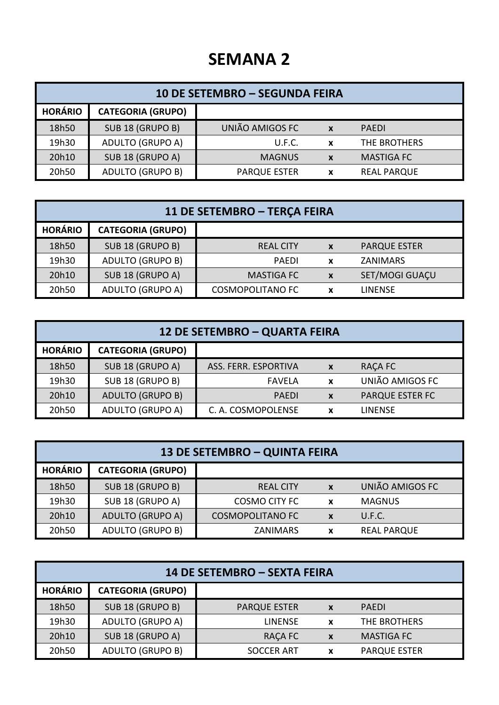| 10 DE SETEMBRO - SEGUNDA FEIRA |                          |                     |                  |                    |  |
|--------------------------------|--------------------------|---------------------|------------------|--------------------|--|
| <b>HORÁRIO</b>                 | <b>CATEGORIA (GRUPO)</b> |                     |                  |                    |  |
| 18h50                          | SUB 18 (GRUPO B)         | UNIÃO AMIGOS FC     | $\boldsymbol{x}$ | <b>PAFDI</b>       |  |
| 19h30                          | <b>ADULTO (GRUPO A)</b>  | U.F.C.              | X                | THE BROTHERS       |  |
| 20h10                          | SUB 18 (GRUPO A)         | <b>MAGNUS</b>       | $\boldsymbol{x}$ | <b>MASTIGA FC</b>  |  |
| 20h50                          | <b>ADULTO (GRUPO B)</b>  | <b>PARQUE ESTER</b> | X                | <b>REAL PARQUE</b> |  |

| 11 DE SETEMBRO - TERÇA FEIRA |                          |                         |             |                     |  |
|------------------------------|--------------------------|-------------------------|-------------|---------------------|--|
| <b>HORÁRIO</b>               | <b>CATEGORIA (GRUPO)</b> |                         |             |                     |  |
| 18h50                        | SUB 18 (GRUPO B)         | <b>REAL CITY</b>        | $\mathbf x$ | <b>PARQUE ESTER</b> |  |
| 19h30                        | <b>ADULTO (GRUPO B)</b>  | <b>PAEDI</b>            | $\mathbf x$ | ZANIMARS            |  |
| 20h10                        | SUB 18 (GRUPO A)         | <b>MASTIGA FC</b>       | X           | SET/MOGI GUAÇU      |  |
| 20h50                        | <b>ADULTO (GRUPO A)</b>  | <b>COSMOPOLITANO FC</b> | X           | <b>LINENSE</b>      |  |

| 12 DE SETEMBRO - QUARTA FEIRA |                          |                      |                           |                        |  |
|-------------------------------|--------------------------|----------------------|---------------------------|------------------------|--|
| <b>HORÁRIO</b>                | <b>CATEGORIA (GRUPO)</b> |                      |                           |                        |  |
| 18h50                         | SUB 18 (GRUPO A)         | ASS. FERR. ESPORTIVA | X                         | RAÇA FC                |  |
| 19h30                         | SUB 18 (GRUPO B)         | <b>FAVELA</b>        | $\boldsymbol{\mathsf{x}}$ | UNIÃO AMIGOS FC        |  |
| 20h10                         | <b>ADULTO (GRUPO B)</b>  | <b>PAEDI</b>         | $\boldsymbol{x}$          | <b>PARQUE ESTER FC</b> |  |
| 20h50                         | <b>ADULTO (GRUPO A)</b>  | C. A. COSMOPOLENSE   | x                         | <b>LINENSE</b>         |  |

| 13 DE SETEMBRO - QUINTA FEIRA |                          |                         |                  |                    |  |
|-------------------------------|--------------------------|-------------------------|------------------|--------------------|--|
| <b>HORÁRIO</b>                | <b>CATEGORIA (GRUPO)</b> |                         |                  |                    |  |
| 18h50                         | SUB 18 (GRUPO B)         | <b>REAL CITY</b>        | $\boldsymbol{x}$ | UNIÃO AMIGOS FC    |  |
| 19h30                         | SUB 18 (GRUPO A)         | <b>COSMO CITY FC</b>    | X                | <b>MAGNUS</b>      |  |
| 20h10                         | <b>ADULTO (GRUPO A)</b>  | <b>COSMOPOLITANO FC</b> | X                | U.F.C.             |  |
| 20h50                         | <b>ADULTO (GRUPO B)</b>  | <b>ZANIMARS</b>         | x                | <b>REAL PARQUE</b> |  |

| 14 DE SETEMBRO - SEXTA FEIRA |                          |                     |              |                     |
|------------------------------|--------------------------|---------------------|--------------|---------------------|
| <b>HORÁRIO</b>               | <b>CATEGORIA (GRUPO)</b> |                     |              |                     |
| 18h50                        | SUB 18 (GRUPO B)         | <b>PARQUE ESTER</b> | $\mathbf{x}$ | <b>PAFDI</b>        |
| 19h30                        | <b>ADULTO (GRUPO A)</b>  | <b>LINENSE</b>      | $\mathbf{x}$ | THE BROTHERS        |
| 20h10                        | SUB 18 (GRUPO A)         | RAÇA FC             | $\mathbf x$  | <b>MASTIGA FC</b>   |
| 20h50                        | <b>ADULTO (GRUPO B)</b>  | <b>SOCCER ART</b>   | X            | <b>PARQUE ESTER</b> |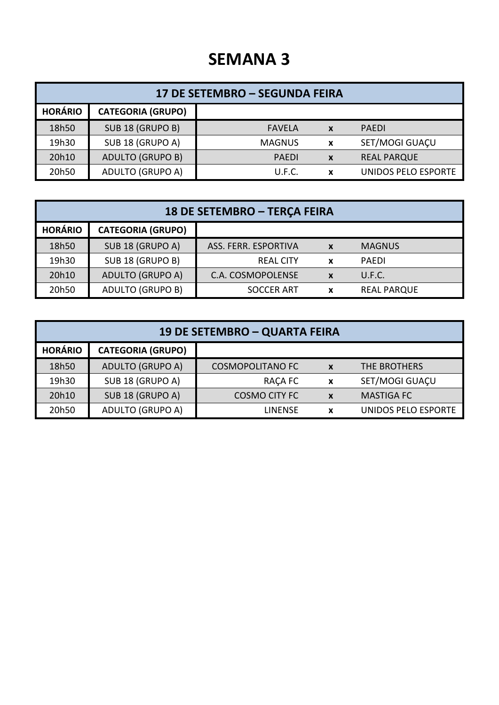| 17 DE SETEMBRO - SEGUNDA FEIRA |                          |               |                           |                     |  |
|--------------------------------|--------------------------|---------------|---------------------------|---------------------|--|
| <b>HORÁRIO</b>                 | <b>CATEGORIA (GRUPO)</b> |               |                           |                     |  |
| 18h50                          | SUB 18 (GRUPO B)         | <b>FAVELA</b> | $\boldsymbol{x}$          | <b>PAFDI</b>        |  |
| 19h30                          | SUB 18 (GRUPO A)         | <b>MAGNUS</b> | $\boldsymbol{\mathsf{x}}$ | SET/MOGI GUAÇU      |  |
| 20h10                          | <b>ADULTO (GRUPO B)</b>  | <b>PAEDI</b>  | $\boldsymbol{x}$          | <b>REAL PARQUE</b>  |  |
| 20h50                          | <b>ADULTO (GRUPO A)</b>  | U.F.C.        | x                         | UNIDOS PELO ESPORTE |  |

| 18 DE SETEMBRO - TERÇA FEIRA |                          |                      |                           |                    |  |
|------------------------------|--------------------------|----------------------|---------------------------|--------------------|--|
| <b>HORÁRIO</b>               | <b>CATEGORIA (GRUPO)</b> |                      |                           |                    |  |
| 18h50                        | SUB 18 (GRUPO A)         | ASS. FERR. ESPORTIVA | $\mathbf{x}$              | <b>MAGNUS</b>      |  |
| 19h30                        | SUB 18 (GRUPO B)         | <b>REAL CITY</b>     | $\boldsymbol{\mathsf{x}}$ | PAFDI              |  |
| 20h10                        | <b>ADULTO (GRUPO A)</b>  | C.A. COSMOPOLENSE    | $\mathbf{x}$              | U.F.C.             |  |
| 20h50                        | <b>ADULTO (GRUPO B)</b>  | <b>SOCCER ART</b>    | X                         | <b>REAL PARQUE</b> |  |

| 19 DE SETEMBRO – QUARTA FEIRA |                          |                         |                           |                     |  |
|-------------------------------|--------------------------|-------------------------|---------------------------|---------------------|--|
| <b>HORÁRIO</b>                | <b>CATEGORIA (GRUPO)</b> |                         |                           |                     |  |
| 18h50                         | <b>ADULTO (GRUPO A)</b>  | <b>COSMOPOLITANO FC</b> | $\boldsymbol{x}$          | THE BROTHERS        |  |
| 19h30                         | SUB 18 (GRUPO A)         | <b>RACA FC</b>          | $\boldsymbol{\mathsf{x}}$ | SET/MOGI GUAÇU      |  |
| 20h10                         | SUB 18 (GRUPO A)         | <b>COSMO CITY FC</b>    | $\boldsymbol{x}$          | <b>MASTIGA FC</b>   |  |
| 20h50                         | <b>ADULTO (GRUPO A)</b>  | <b>LINENSE</b>          | x                         | UNIDOS PELO ESPORTE |  |